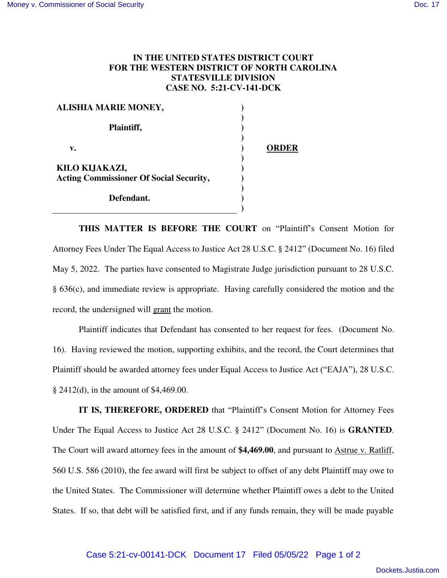## **IN THE UNITED STATES DISTRICT COURT FOR THE WESTERN DISTRICT OF NORTH CAROLINA STATESVILLE DIVISION CASE NO. 5:21-CV-141-DCK**

| <b>ALISHIA MARIE MONEY,</b>                    |              |
|------------------------------------------------|--------------|
| Plaintiff,                                     |              |
| v.                                             | <b>ORDER</b> |
| KILO KIJAKAZI,                                 |              |
| <b>Acting Commissioner Of Social Security,</b> |              |
| Defendant.                                     |              |
|                                                |              |

**THIS MATTER IS BEFORE THE COURT** on "Plaintiff's Consent Motion for Attorney Fees Under The Equal Access to Justice Act 28 U.S.C. § 2412" (Document No. 16) filed May 5, 2022. The parties have consented to Magistrate Judge jurisdiction pursuant to 28 U.S.C. § 636(c), and immediate review is appropriate. Having carefully considered the motion and the record, the undersigned will grant the motion.

Plaintiff indicates that Defendant has consented to her request for fees. (Document No. 16). Having reviewed the motion, supporting exhibits, and the record, the Court determines that Plaintiff should be awarded attorney fees under Equal Access to Justice Act ("EAJA"), 28 U.S.C. § 2412(d), in the amount of \$4,469.00.

**IT IS, THEREFORE, ORDERED** that "Plaintiff's Consent Motion for Attorney Fees Under The Equal Access to Justice Act 28 U.S.C. § 2412" (Document No. 16) is **GRANTED**. The Court will award attorney fees in the amount of **\$4,469.00**, and pursuant to Astrue v. Ratliff, 560 U.S. 586 (2010), the fee award will first be subject to offset of any debt Plaintiff may owe to the United States. The Commissioner will determine whether Plaintiff owes a debt to the United States. If so, that debt will be satisfied first, and if any funds remain, they will be made payable